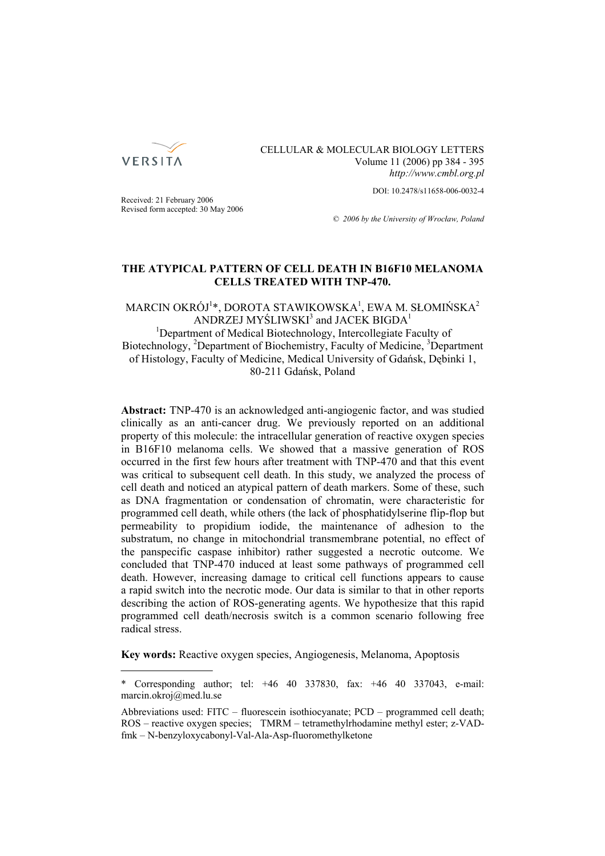

CELLULAR & MOLECULAR BIOLOGY LETTERS Volume 11 (2006) pp 384 - 395 *http://www.cmbl.org.pl*

DOI: 10.2478/s11658-006-0032-4

Received: 21 February 2006 Revised form accepted: 30 May 2006

*© 2006 by the University of Wrocław, Poland*

# **THE ATYPICAL PATTERN OF CELL DEATH IN B16F10 MELANOMA CELLS TREATED WITH TNP-470.**

 $\mathsf{MARCH} \mathsf{OKR} \dot{\mathsf{O}} \mathsf{J}^{1*}, \mathsf{DOROTA} \mathsf{STAWIKOWSKA}^{1}, \mathsf{EWA} \mathsf{M}. \mathsf{SLOMINSKA}^{2}$ ANDRZEJ MYŚLIWSKI $^3$  and JACEK BIGDA $^1$ <sup>1</sup>Department of Medical Biotechnology, Intercollegiate Faculty of Biotechnology, <sup>2</sup>Department of Biochemistry, Faculty of Medicine, <sup>3</sup>Department of Histology, Faculty of Medicine, Medical University of Gdańsk, Dębinki 1, 80-211 Gdańsk, Poland

**Abstract:** TNP-470 is an acknowledged anti-angiogenic factor, and was studied clinically as an anti-cancer drug. We previously reported on an additional property of this molecule: the intracellular generation of reactive oxygen species in B16F10 melanoma cells. We showed that a massive generation of ROS occurred in the first few hours after treatment with TNP-470 and that this event was critical to subsequent cell death. In this study, we analyzed the process of cell death and noticed an atypical pattern of death markers. Some of these, such as DNA fragmentation or condensation of chromatin, were characteristic for programmed cell death, while others (the lack of phosphatidylserine flip-flop but permeability to propidium iodide, the maintenance of adhesion to the substratum, no change in mitochondrial transmembrane potential, no effect of the panspecific caspase inhibitor) rather suggested a necrotic outcome. We concluded that TNP-470 induced at least some pathways of programmed cell death. However, increasing damage to critical cell functions appears to cause a rapid switch into the necrotic mode. Our data is similar to that in other reports describing the action of ROS-generating agents. We hypothesize that this rapid programmed cell death/necrosis switch is a common scenario following free radical stress.

**Key words:** Reactive oxygen species, Angiogenesis, Melanoma, Apoptosis

<sup>\*</sup> Corresponding author; tel: +46 40 337830, fax: +46 40 337043, e-mail: marcin.okroj@med.lu.se

Abbreviations used: FITC – fluorescein isothiocyanate; PCD – programmed cell death; ROS – reactive oxygen species; TMRM – tetramethylrhodamine methyl ester; z-VADfmk – N-benzyloxycabonyl-Val-Ala-Asp-fluoromethylketone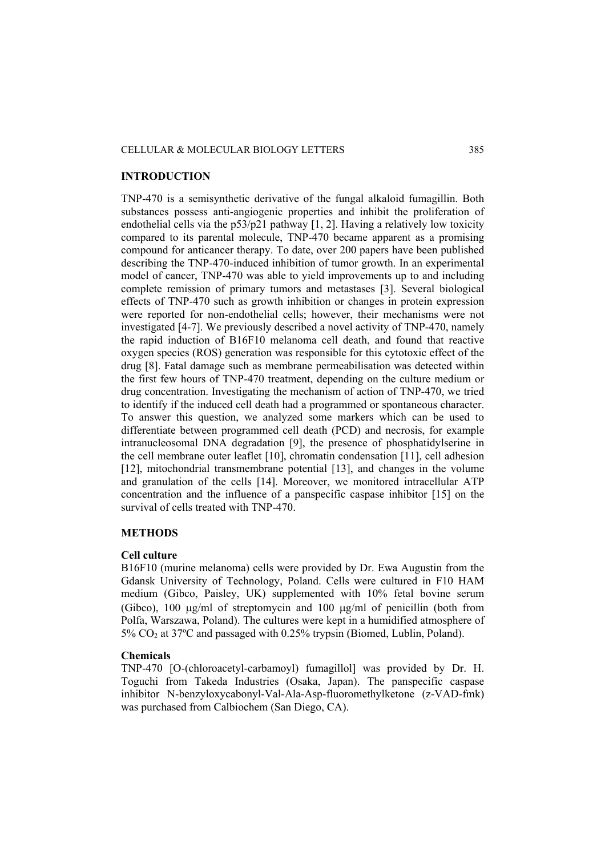## CELLULAR & MOLECULAR BIOLOGY LETTERS 385

#### **INTRODUCTION**

TNP-470 is a semisynthetic derivative of the fungal alkaloid fumagillin. Both substances possess anti-angiogenic properties and inhibit the proliferation of endothelial cells via the p53/p21 pathway [1, 2]. Having a relatively low toxicity compared to its parental molecule, TNP-470 became apparent as a promising compound for anticancer therapy. To date, over 200 papers have been published describing the TNP-470-induced inhibition of tumor growth. In an experimental model of cancer, TNP-470 was able to yield improvements up to and including complete remission of primary tumors and metastases [3]. Several biological effects of TNP-470 such as growth inhibition or changes in protein expression were reported for non-endothelial cells; however, their mechanisms were not investigated [4-7]. We previously described a novel activity of TNP-470, namely the rapid induction of B16F10 melanoma cell death, and found that reactive oxygen species (ROS) generation was responsible for this cytotoxic effect of the drug [8]. Fatal damage such as membrane permeabilisation was detected within the first few hours of TNP-470 treatment, depending on the culture medium or drug concentration. Investigating the mechanism of action of TNP-470, we tried to identify if the induced cell death had a programmed or spontaneous character. To answer this question, we analyzed some markers which can be used to differentiate between programmed cell death (PCD) and necrosis, for example intranucleosomal DNA degradation [9], the presence of phosphatidylserine in the cell membrane outer leaflet [10], chromatin condensation [11], cell adhesion [12], mitochondrial transmembrane potential [13], and changes in the volume and granulation of the cells [14]. Moreover, we monitored intracellular ATP concentration and the influence of a panspecific caspase inhibitor [15] on the survival of cells treated with TNP-470.

#### **METHODS**

### **Cell culture**

B16F10 (murine melanoma) cells were provided by Dr. Ewa Augustin from the Gdansk University of Technology, Poland. Cells were cultured in F10 HAM medium (Gibco, Paisley, UK) supplemented with 10% fetal bovine serum (Gibco), 100 μg/ml of streptomycin and 100 μg/ml of penicillin (both from Polfa, Warszawa, Poland). The cultures were kept in a humidified atmosphere of 5% CO2 at 37ºC and passaged with 0.25% trypsin (Biomed, Lublin, Poland).

### **Chemicals**

TNP-470 [O-(chloroacetyl-carbamoyl) fumagillol] was provided by Dr. H. Toguchi from Takeda Industries (Osaka, Japan). The panspecific caspase inhibitor N-benzyloxycabonyl-Val-Ala-Asp-fluoromethylketone (z-VAD-fmk) was purchased from Calbiochem (San Diego, CA).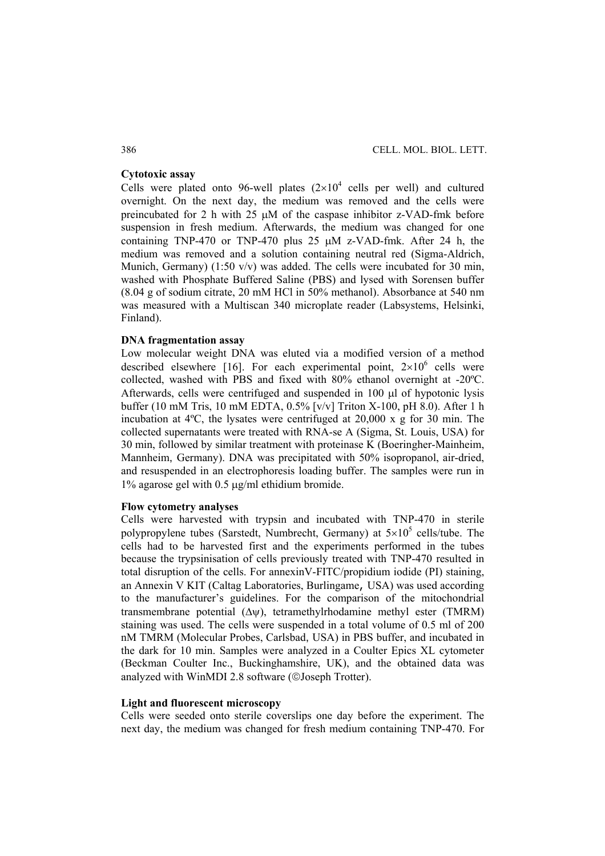# **Cytotoxic assay**

Cells were plated onto 96-well plates  $(2\times10^4$  cells per well) and cultured overnight. On the next day, the medium was removed and the cells were preincubated for 2 h with 25 μM of the caspase inhibitor z-VAD-fmk before suspension in fresh medium. Afterwards, the medium was changed for one containing TNP-470 or TNP-470 plus 25 μM z-VAD-fmk. After 24 h, the medium was removed and a solution containing neutral red (Sigma-Aldrich, Munich, Germany) (1:50 v/v) was added. The cells were incubated for 30 min, washed with Phosphate Buffered Saline (PBS) and lysed with Sorensen buffer (8.04 g of sodium citrate, 20 mM HCl in 50% methanol). Absorbance at 540 nm was measured with a Multiscan 340 microplate reader (Labsystems, Helsinki, Finland).

## **DNA fragmentation assay**

Low molecular weight DNA was eluted via a modified version of a method described elsewhere [16]. For each experimental point,  $2\times10^6$  cells were collected, washed with PBS and fixed with 80% ethanol overnight at -20ºC. Afterwards, cells were centrifuged and suspended in 100 μl of hypotonic lysis buffer (10 mM Tris, 10 mM EDTA, 0.5% [v/v] Triton X-100, pH 8.0). After 1 h incubation at 4ºC, the lysates were centrifuged at 20,000 x g for 30 min. The collected supernatants were treated with RNA-se A (Sigma, St. Louis, USA) for 30 min, followed by similar treatment with proteinase K (Boeringher-Mainheim, Mannheim, Germany). DNA was precipitated with 50% isopropanol, air-dried, and resuspended in an electrophoresis loading buffer. The samples were run in 1% agarose gel with 0.5 μg/ml ethidium bromide.

### **Flow cytometry analyses**

Cells were harvested with trypsin and incubated with TNP-470 in sterile polypropylene tubes (Sarstedt, Numbrecht, Germany) at  $5\times10^5$  cells/tube. The cells had to be harvested first and the experiments performed in the tubes because the trypsinisation of cells previously treated with TNP-470 resulted in total disruption of the cells. For annexinV-FITC/propidium iodide (PI) staining, an Annexin V KIT (Caltag Laboratories, Burlingame, USA) was used according to the manufacturer's guidelines. For the comparison of the mitochondrial transmembrane potential (Δψ), tetramethylrhodamine methyl ester (TMRM) staining was used. The cells were suspended in a total volume of 0.5 ml of 200 nM TMRM (Molecular Probes, Carlsbad, USA) in PBS buffer, and incubated in the dark for 10 min. Samples were analyzed in a Coulter Epics XL cytometer (Beckman Coulter Inc., Buckinghamshire, UK), and the obtained data was analyzed with WinMDI 2.8 software (©Joseph Trotter).

### **Light and fluorescent microscopy**

Cells were seeded onto sterile coverslips one day before the experiment. The next day, the medium was changed for fresh medium containing TNP-470. For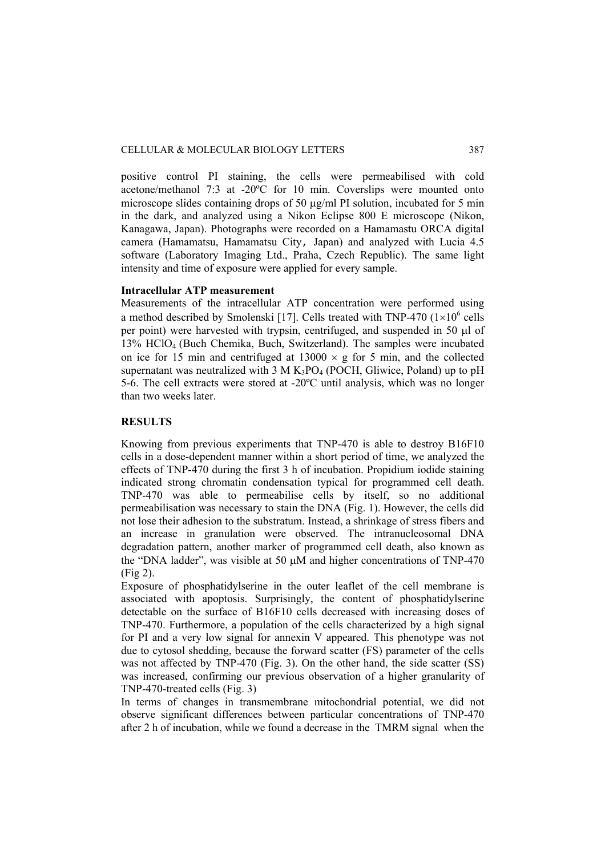positive control PI staining, the cells were permeabilised with cold acetone/methanol 7:3 at -20ºC for 10 min. Coverslips were mounted onto microscope slides containing drops of 50  $\mu$ g/ml PI solution, incubated for 5 min in the dark, and analyzed using a Nikon Eclipse 800 E microscope (Nikon, Kanagawa, Japan). Photographs were recorded on a Hamamastu ORCA digital camera (Hamamatsu, Hamamatsu City, Japan) and analyzed with Lucia 4.5 software (Laboratory Imaging Ltd., Praha, Czech Republic). The same light intensity and time of exposure were applied for every sample.

## **Intracellular ATP measurement**

Measurements of the intracellular ATP concentration were performed using a method described by Smolenski [17]. Cells treated with TNP-470  $(1\times10^{6}$  cells per point) were harvested with trypsin, centrifuged, and suspended in 50 μl of 13% HClO4 (Buch Chemika, Buch, Switzerland). The samples were incubated on ice for 15 min and centrifuged at  $13000 \times g$  for 5 min, and the collected supernatant was neutralized with  $3 M K<sub>3</sub>PO<sub>4</sub> (POCH, Gliwice, Poland)$  up to pH 5-6. The cell extracts were stored at -20ºC until analysis, which was no longer than two weeks later.

# **RESULTS**

Knowing from previous experiments that TNP-470 is able to destroy B16F10 cells in a dose-dependent manner within a short period of time, we analyzed the effects of TNP-470 during the first 3 h of incubation. Propidium iodide staining indicated strong chromatin condensation typical for programmed cell death. TNP-470 was able to permeabilise cells by itself, so no additional permeabilisation was necessary to stain the DNA (Fig. 1). However, the cells did not lose their adhesion to the substratum. Instead, a shrinkage of stress fibers and an increase in granulation were observed. The intranucleosomal DNA degradation pattern, another marker of programmed cell death, also known as the "DNA ladder", was visible at 50 μM and higher concentrations of TNP-470 (Fig 2).

Exposure of phosphatidylserine in the outer leaflet of the cell membrane is associated with apoptosis. Surprisingly, the content of phosphatidylserine detectable on the surface of B16F10 cells decreased with increasing doses of TNP-470. Furthermore, a population of the cells characterized by a high signal for PI and a very low signal for annexin V appeared. This phenotype was not due to cytosol shedding, because the forward scatter (FS) parameter of the cells was not affected by TNP-470 (Fig. 3). On the other hand, the side scatter (SS) was increased, confirming our previous observation of a higher granularity of TNP-470-treated cells (Fig. 3)

In terms of changes in transmembrane mitochondrial potential, we did not observe significant differences between particular concentrations of TNP-470 after 2 h of incubation, while we found a decrease in the TMRM signal when the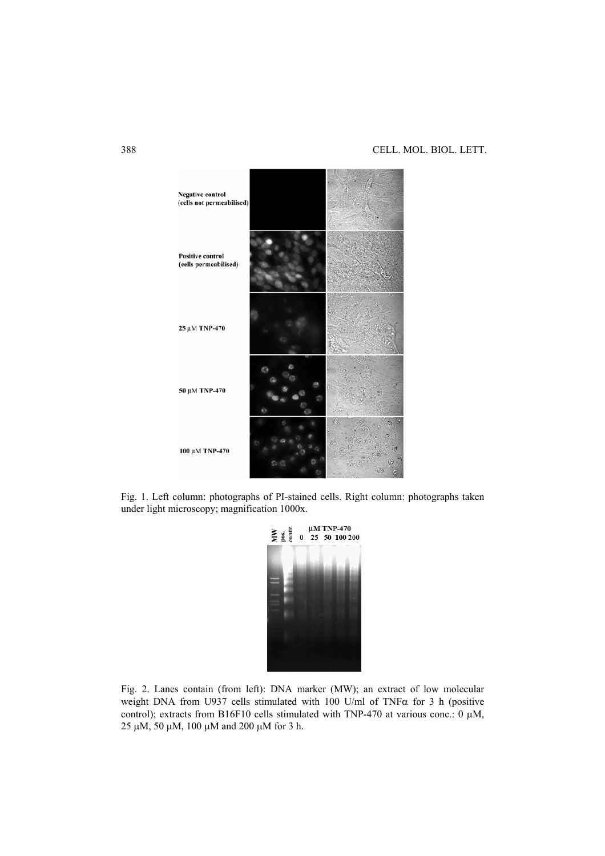

Fig. 1. Left column: photographs of PI-stained cells. Right column: photographs taken under light microscopy; magnification 1000x.



Fig. 2. Lanes contain (from left): DNA marker (MW); an extract of low molecular weight DNA from U937 cells stimulated with 100 U/ml of TNF $\alpha$  for 3 h (positive control); extracts from B16F10 cells stimulated with TNP-470 at various conc.: 0 μM, 25 μM, 50 μM, 100 μM and 200 μM for 3 h.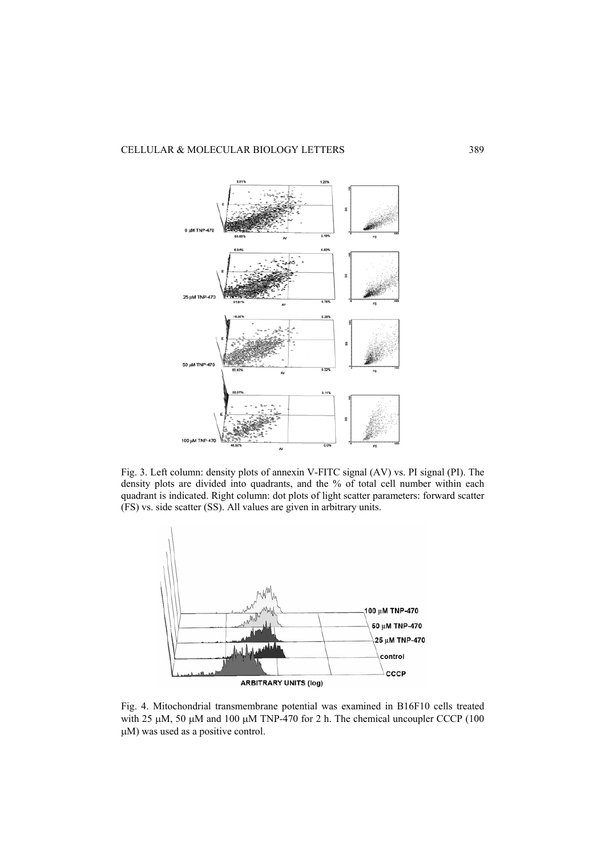

Fig. 3. Left column: density plots of annexin V-FITC signal (AV) vs. PI signal (PI). The density plots are divided into quadrants, and the % of total cell number within each quadrant is indicated. Right column: dot plots of light scatter parameters: forward scatter (FS) vs. side scatter (SS). All values are given in arbitrary units.



Fig. 4. Mitochondrial transmembrane potential was examined in B16F10 cells treated with 25 μM, 50 μM and 100 μM TNP-470 for 2 h. The chemical uncoupler CCCP (100) μM) was used as a positive control.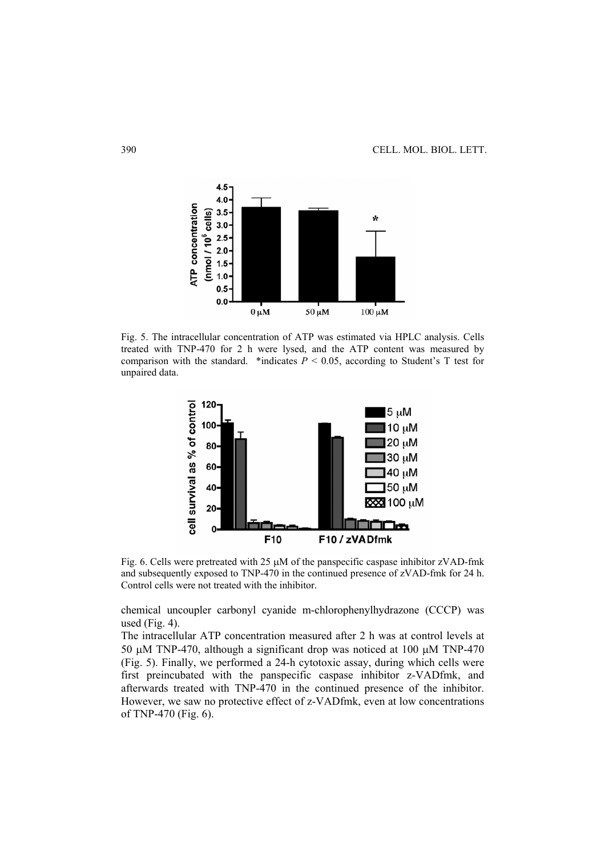

Fig. 5. The intracellular concentration of ATP was estimated via HPLC analysis. Cells treated with TNP-470 for 2 h were lysed, and the ATP content was measured by comparison with the standard. \*indicates  $P < 0.05$ , according to Student's T test for unpaired data.



Fig. 6. Cells were pretreated with 25 μM of the panspecific caspase inhibitor zVAD-fmk and subsequently exposed to TNP-470 in the continued presence of zVAD-fmk for 24 h. Control cells were not treated with the inhibitor.

chemical uncoupler carbonyl cyanide m-chlorophenylhydrazone (CCCP) was used (Fig.  $4$ ).

The intracellular ATP concentration measured after 2 h was at control levels at 50 μM TNP-470, although a significant drop was noticed at 100 μM TNP-470 (Fig. 5). Finally, we performed a 24-h cytotoxic assay, during which cells were first preincubated with the panspecific caspase inhibitor z-VADfmk, and afterwards treated with TNP-470 in the continued presence of the inhibitor. However, we saw no protective effect of z-VADfmk, even at low concentrations of TNP-470 (Fig. 6).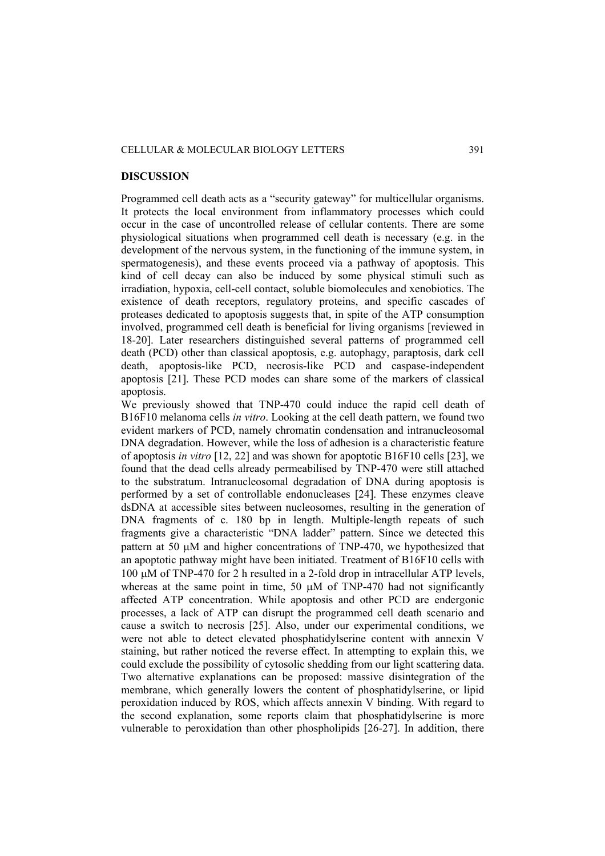## CELLULAR & MOLECULAR BIOLOGY LETTERS 391

#### **DISCUSSION**

Programmed cell death acts as a "security gateway" for multicellular organisms. It protects the local environment from inflammatory processes which could occur in the case of uncontrolled release of cellular contents. There are some physiological situations when programmed cell death is necessary (e.g. in the development of the nervous system, in the functioning of the immune system, in spermatogenesis), and these events proceed via a pathway of apoptosis. This kind of cell decay can also be induced by some physical stimuli such as irradiation, hypoxia, cell-cell contact, soluble biomolecules and xenobiotics. The existence of death receptors, regulatory proteins, and specific cascades of proteases dedicated to apoptosis suggests that, in spite of the ATP consumption involved, programmed cell death is beneficial for living organisms [reviewed in 18-20]. Later researchers distinguished several patterns of programmed cell death (PCD) other than classical apoptosis, e.g. autophagy, paraptosis, dark cell death, apoptosis-like PCD, necrosis-like PCD and caspase-independent apoptosis [21]. These PCD modes can share some of the markers of classical apoptosis.

We previously showed that TNP-470 could induce the rapid cell death of B16F10 melanoma cells *in vitro*. Looking at the cell death pattern, we found two evident markers of PCD, namely chromatin condensation and intranucleosomal DNA degradation. However, while the loss of adhesion is a characteristic feature of apoptosis *in vitro* [12, 22] and was shown for apoptotic B16F10 cells [23], we found that the dead cells already permeabilised by TNP-470 were still attached to the substratum. Intranucleosomal degradation of DNA during apoptosis is performed by a set of controllable endonucleases [24]. These enzymes cleave dsDNA at accessible sites between nucleosomes, resulting in the generation of DNA fragments of c. 180 bp in length. Multiple-length repeats of such fragments give a characteristic "DNA ladder" pattern. Since we detected this pattern at 50 μM and higher concentrations of TNP-470, we hypothesized that an apoptotic pathway might have been initiated. Treatment of B16F10 cells with 100 μM of TNP-470 for 2 h resulted in a 2-fold drop in intracellular ATP levels, whereas at the same point in time, 50  $\mu$ M of TNP-470 had not significantly affected ATP concentration. While apoptosis and other PCD are endergonic processes, a lack of ATP can disrupt the programmed cell death scenario and cause a switch to necrosis [25]. Also, under our experimental conditions, we were not able to detect elevated phosphatidylserine content with annexin V staining, but rather noticed the reverse effect. In attempting to explain this, we could exclude the possibility of cytosolic shedding from our light scattering data. Two alternative explanations can be proposed: massive disintegration of the membrane, which generally lowers the content of phosphatidylserine, or lipid peroxidation induced by ROS, which affects annexin V binding. With regard to the second explanation, some reports claim that phosphatidylserine is more vulnerable to peroxidation than other phospholipids [26-27]. In addition, there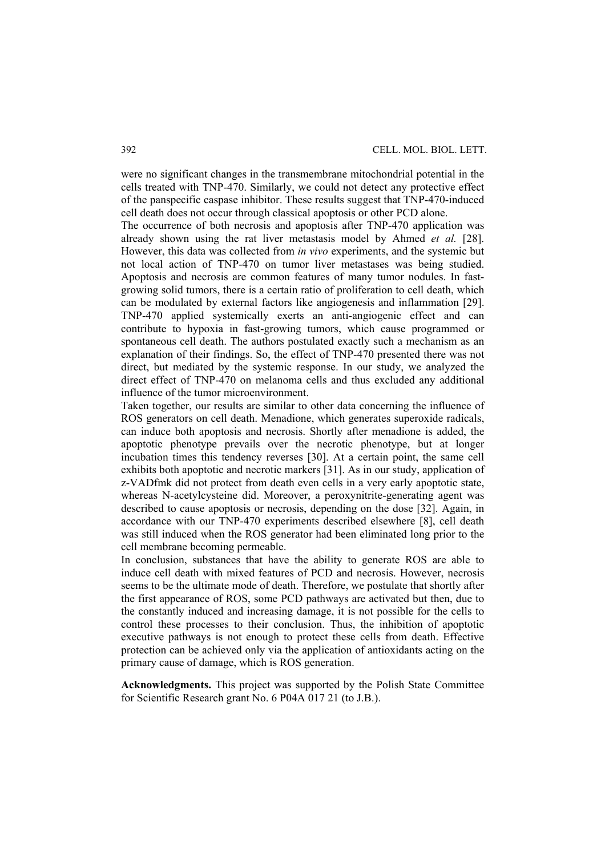were no significant changes in the transmembrane mitochondrial potential in the cells treated with TNP-470. Similarly, we could not detect any protective effect of the panspecific caspase inhibitor. These results suggest that TNP-470-induced cell death does not occur through classical apoptosis or other PCD alone.

The occurrence of both necrosis and apoptosis after TNP-470 application was already shown using the rat liver metastasis model by Ahmed *et al.* [28]. However, this data was collected from *in vivo* experiments, and the systemic but not local action of TNP-470 on tumor liver metastases was being studied. Apoptosis and necrosis are common features of many tumor nodules. In fastgrowing solid tumors, there is a certain ratio of proliferation to cell death, which can be modulated by external factors like angiogenesis and inflammation [29]. TNP-470 applied systemically exerts an anti-angiogenic effect and can contribute to hypoxia in fast-growing tumors, which cause programmed or spontaneous cell death. The authors postulated exactly such a mechanism as an explanation of their findings. So, the effect of TNP-470 presented there was not direct, but mediated by the systemic response. In our study, we analyzed the direct effect of TNP-470 on melanoma cells and thus excluded any additional influence of the tumor microenvironment.

Taken together, our results are similar to other data concerning the influence of ROS generators on cell death. Menadione, which generates superoxide radicals, can induce both apoptosis and necrosis. Shortly after menadione is added, the apoptotic phenotype prevails over the necrotic phenotype, but at longer incubation times this tendency reverses [30]. At a certain point, the same cell exhibits both apoptotic and necrotic markers [31]. As in our study, application of z-VADfmk did not protect from death even cells in a very early apoptotic state, whereas N-acetylcysteine did. Moreover, a peroxynitrite-generating agent was described to cause apoptosis or necrosis, depending on the dose [32]. Again, in accordance with our TNP-470 experiments described elsewhere [8], cell death was still induced when the ROS generator had been eliminated long prior to the cell membrane becoming permeable.

In conclusion, substances that have the ability to generate ROS are able to induce cell death with mixed features of PCD and necrosis. However, necrosis seems to be the ultimate mode of death. Therefore, we postulate that shortly after the first appearance of ROS, some PCD pathways are activated but then, due to the constantly induced and increasing damage, it is not possible for the cells to control these processes to their conclusion. Thus, the inhibition of apoptotic executive pathways is not enough to protect these cells from death. Effective protection can be achieved only via the application of antioxidants acting on the primary cause of damage, which is ROS generation.

**Acknowledgments.** This project was supported by the Polish State Committee for Scientific Research grant No. 6 P04A 017 21 (to J.B.).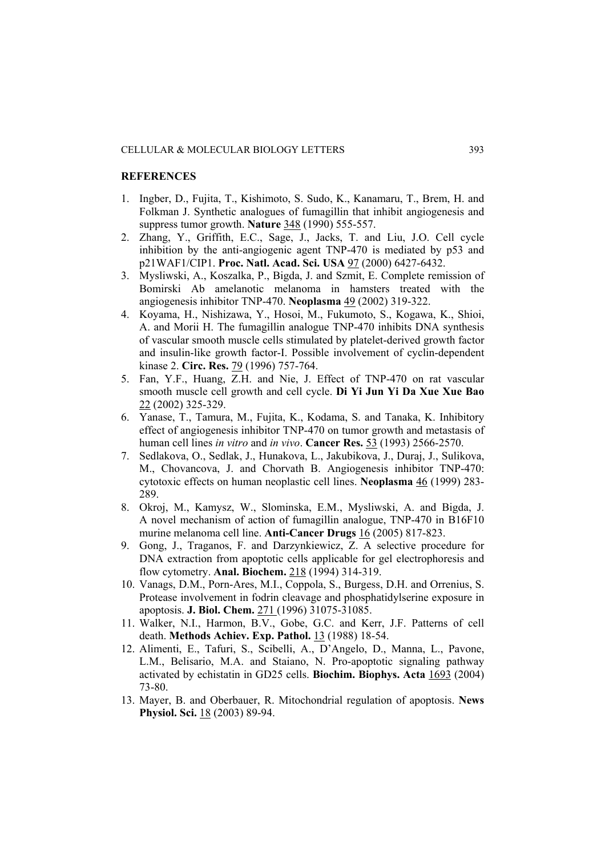### **REFERENCES**

- 1. Ingber, D., Fujita, T., Kishimoto, S. Sudo, K., Kanamaru, T., Brem, H. and Folkman J. Synthetic analogues of fumagillin that inhibit angiogenesis and suppress tumor growth. **Nature** 348 (1990) 555-557.
- 2. Zhang, Y., Griffith, E.C., Sage, J., Jacks, T. and Liu, J.O. Cell cycle inhibition by the anti-angiogenic agent TNP-470 is mediated by p53 and p21WAF1/CIP1. **Proc. Natl. Acad. Sci. USA** 97 (2000) 6427-6432.
- 3. Mysliwski, A., Koszalka, P., Bigda, J. and Szmit, E. Complete remission of Bomirski Ab amelanotic melanoma in hamsters treated with the angiogenesis inhibitor TNP-470. **Neoplasma** 49 (2002) 319-322.
- 4. Koyama, H., Nishizawa, Y., Hosoi, M., Fukumoto, S., Kogawa, K., Shioi, A. and Morii H. The fumagillin analogue TNP-470 inhibits DNA synthesis of vascular smooth muscle cells stimulated by platelet-derived growth factor and insulin-like growth factor-I. Possible involvement of cyclin-dependent kinase 2. **Circ. Res.** 79 (1996) 757-764.
- 5. Fan, Y.F., Huang, Z.H. and Nie, J. Effect of TNP-470 on rat vascular smooth muscle cell growth and cell cycle. **Di Yi Jun Yi Da Xue Xue Bao** 22 (2002) 325-329.
- 6. Yanase, T., Tamura, M., Fujita, K., Kodama, S. and Tanaka, K. Inhibitory effect of angiogenesis inhibitor TNP-470 on tumor growth and metastasis of human cell lines *in vitro* and *in vivo*. **Cancer Res.** 53 (1993) 2566-2570.
- 7. Sedlakova, O., Sedlak, J., Hunakova, L., Jakubikova, J., Duraj, J., Sulikova, M., Chovancova, J. and Chorvath B. Angiogenesis inhibitor TNP-470: cytotoxic effects on human neoplastic cell lines. **Neoplasma** 46 (1999) 283- 289.
- 8. Okroj, M., Kamysz, W., Slominska, E.M., Mysliwski, A. and Bigda, J. A novel mechanism of action of fumagillin analogue, TNP-470 in B16F10 murine melanoma cell line. **Anti-Cancer Drugs** 16 (2005) 817-823.
- 9. Gong, J., Traganos, F. and Darzynkiewicz, Z. A selective procedure for DNA extraction from apoptotic cells applicable for gel electrophoresis and flow cytometry. **Anal. Biochem.** 218 (1994) 314-319.
- 10. Vanags, D.M., Porn-Ares, M.I., Coppola, S., Burgess, D.H. and Orrenius, S. Protease involvement in fodrin cleavage and phosphatidylserine exposure in apoptosis. **J. Biol. Chem.** 271 (1996) 31075-31085.
- 11. Walker, N.I., Harmon, B.V., Gobe, G.C. and Kerr, J.F. Patterns of cell death. **Methods Achiev. Exp. Pathol.** 13 (1988) 18-54.
- 12. Alimenti, E., Tafuri, S., Scibelli, A., D'Angelo, D., Manna, L., Pavone, L.M., Belisario, M.A. and Staiano, N. Pro-apoptotic signaling pathway activated by echistatin in GD25 cells. **Biochim. Biophys. Acta** 1693 (2004) 73-80.
- 13. Mayer, B. and Oberbauer, R. Mitochondrial regulation of apoptosis. **News Physiol. Sci.** 18 (2003) 89-94.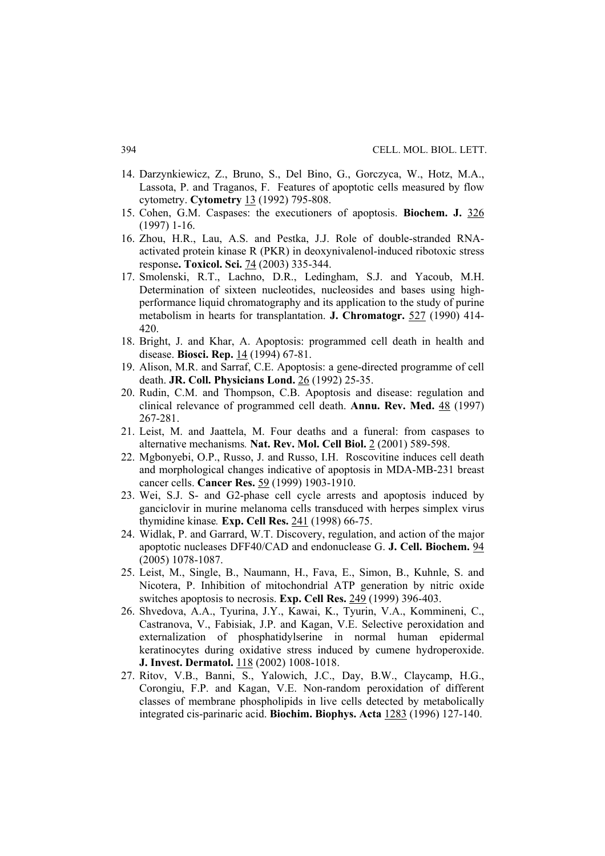- 14. Darzynkiewicz, Z., Bruno, S., Del Bino, G., Gorczyca, W., Hotz, M.A., Lassota, P. and Traganos, F. Features of apoptotic cells measured by flow cytometry. **Cytometry** 13 (1992) 795-808.
- 15. Cohen, G.M. Caspases: the executioners of apoptosis. **Biochem. J.** 326 (1997) 1-16.
- 16. Zhou, H.R., Lau, A.S. and Pestka, J.J. Role of double-stranded RNAactivated protein kinase R (PKR) in deoxynivalenol-induced ribotoxic stress response**. Toxicol. Sci.** 74 (2003) 335-344.
- 17. Smolenski, R.T., Lachno, D.R., Ledingham, S.J. and Yacoub, M.H. Determination of sixteen nucleotides, nucleosides and bases using highperformance liquid chromatography and its application to the study of purine metabolism in hearts for transplantation. **J. Chromatogr.** 527 (1990) 414- 420.
- 18. Bright, J. and Khar, A. Apoptosis: programmed cell death in health and disease. **Biosci. Rep.** 14 (1994) 67-81.
- 19. Alison, M.R. and Sarraf, C.E. Apoptosis: a gene-directed programme of cell death. **JR. Coll. Physicians Lond.** 26 (1992) 25-35.
- 20. Rudin, C.M. and Thompson, C.B. Apoptosis and disease: regulation and clinical relevance of programmed cell death. **Annu. Rev. Med.** 48 (1997) 267-281.
- 21. Leist, M. and Jaattela, M. Four deaths and a funeral: from caspases to alternative mechanisms*.* **Nat. Rev. Mol. Cell Biol.** 2 (2001) 589-598.
- 22. Mgbonyebi, O.P., Russo, J. and Russo, I.H. Roscovitine induces cell death and morphological changes indicative of apoptosis in MDA-MB-231 breast cancer cells. **Cancer Res.** 59 (1999) 1903-1910.
- 23. Wei, S.J. S- and G2-phase cell cycle arrests and apoptosis induced by ganciclovir in murine melanoma cells transduced with herpes simplex virus thymidine kinase*.* **Exp. Cell Res.** 241 (1998) 66-75.
- 24. Widlak, P. and Garrard, W.T. Discovery, regulation, and action of the major apoptotic nucleases DFF40/CAD and endonuclease G. **J. Cell. Biochem.** 94 (2005) 1078-1087.
- 25. Leist, M., Single, B., Naumann, H., Fava, E., Simon, B., Kuhnle, S. and Nicotera, P. Inhibition of mitochondrial ATP generation by nitric oxide switches apoptosis to necrosis. **Exp. Cell Res.** 249 (1999) 396-403.
- 26. Shvedova, A.A., Tyurina, J.Y., Kawai, K., Tyurin, V.A., Kommineni, C., Castranova, V., Fabisiak, J.P. and Kagan, V.E. Selective peroxidation and externalization of phosphatidylserine in normal human epidermal keratinocytes during oxidative stress induced by cumene hydroperoxide. **J. Invest. Dermatol.** 118 (2002) 1008-1018.
- 27. Ritov, V.B., Banni, S., Yalowich, J.C., Day, B.W., Claycamp, H.G., Corongiu, F.P. and Kagan, V.E. Non-random peroxidation of different classes of membrane phospholipids in live cells detected by metabolically integrated cis-parinaric acid. **Biochim. Biophys. Acta** 1283 (1996) 127-140.